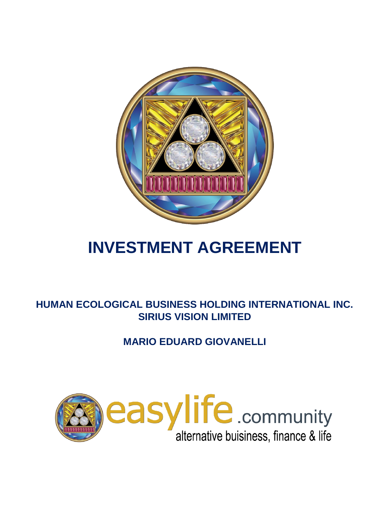

# **INVESTMENT AGREEMENT**

# **HUMAN ECOLOGICAL BUSINESS HOLDING INTERNATIONAL INC. SIRIUS VISION LIMITED**

# **MARIO EDUARD GIOVANELLI**

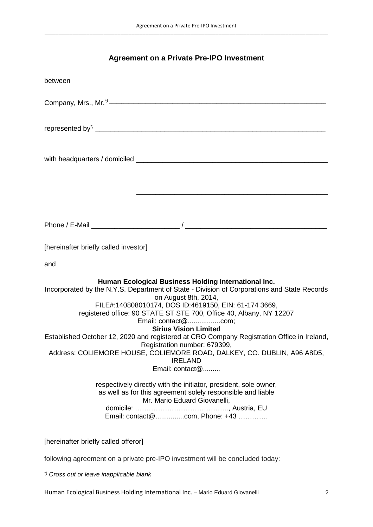# **Agreement on a Private Pre-IPO Investment**

| between                                                                                                                                                                                                                                                                                                     |
|-------------------------------------------------------------------------------------------------------------------------------------------------------------------------------------------------------------------------------------------------------------------------------------------------------------|
|                                                                                                                                                                                                                                                                                                             |
|                                                                                                                                                                                                                                                                                                             |
|                                                                                                                                                                                                                                                                                                             |
|                                                                                                                                                                                                                                                                                                             |
|                                                                                                                                                                                                                                                                                                             |
|                                                                                                                                                                                                                                                                                                             |
| [hereinafter briefly called investor]                                                                                                                                                                                                                                                                       |
| and                                                                                                                                                                                                                                                                                                         |
| Human Ecological Business Holding International Inc.<br>Incorporated by the N.Y.S. Department of State - Division of Corporations and State Records<br>on August 8th, 2014,<br>FILE#:140808010174, DOS ID:4619150, EIN: 61-174 3669,<br>registered office: 90 STATE ST STE 700, Office 40, Albany, NY 12207 |
| <b>Sirius Vision Limited</b><br>Established October 12, 2020 and registered at CRO Company Registration Office in Ireland,<br>Registration number: 679399,<br>Address: COLIEMORE HOUSE, COLIEMORE ROAD, DALKEY, CO. DUBLIN, A96 A8D5,<br><b>IRELAND</b><br>Email: contact@                                  |
| respectively directly with the initiator, president, sole owner,<br>as well as for this agreement solely responsible and liable<br>Mr. Mario Eduard Giovanelli,<br>Email: contact@com, Phone: +43                                                                                                           |
| [hereinafter briefly called offeror]                                                                                                                                                                                                                                                                        |

following agreement on a private pre-IPO investment will be concluded today:

*\*) Cross out or leave inapplicable blank*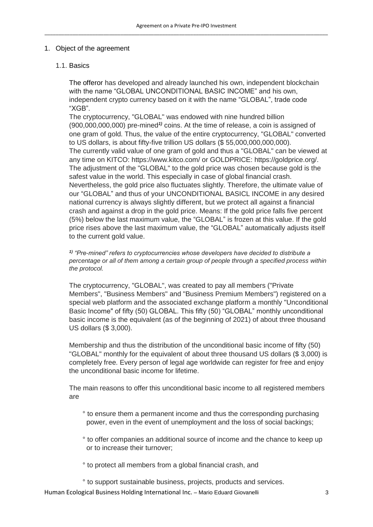# 1. Object of the agreement

# 1.1. Basics

The offeror has developed and already launched his own, independent blockchain with the name "GLOBAL UNCONDITIONAL BASIC INCOME" and his own, independent crypto currency based on it with the name "GLOBAL", trade code "XGB".

The cryptocurrency, "GLOBAL" was endowed with nine hundred billion (900,000,000,000) pre-mined*1)* coins. At the time of release, a coin is assigned of one gram of gold. Thus, the value of the entire cryptocurrency, "GLOBAL" converted to US dollars, is about fifty-five trillion US dollars (\$ 55,000,000,000,000). The currently valid value of one gram of gold and thus a "GLOBAL" can be viewed at any time on KITCO: https://www.kitco.com/ or GOLDPRICE: https://goldprice.org/. The adjustment of the "GLOBAL" to the gold price was chosen because gold is the safest value in the world. This especially in case of global financial crash. Nevertheless, the gold price also fluctuates slightly. Therefore, the ultimate value of our "GLOBAL" and thus of your UNCONDITIONAL BASICL INCOME in any desired national currency is always slightly different, but we protect all against a financial crash and against a drop in the gold price. Means: If the gold price falls five percent (5%) below the last maximum value, the "GLOBAL" is frozen at this value. If the gold price rises above the last maximum value, the "GLOBAL" automatically adjusts itself to the current gold value.

*1) "Pre-mined" refers to cryptocurrencies whose developers have decided to distribute a percentage or all of them among a certain group of people through a specified process within the protocol.*

The cryptocurrency, "GLOBAL", was created to pay all members ("Private Members", "Business Members" and "Business Premium Members") registered on a special web platform and the associated exchange platform a monthly "Unconditional Basic Income" of fifty (50) GLOBAL. This fifty (50) "GLOBAL" monthly unconditional basic income is the equivalent (as of the beginning of 2021) of about three thousand US dollars (\$ 3,000).

Membership and thus the distribution of the unconditional basic income of fifty (50) "GLOBAL" monthly for the equivalent of about three thousand US dollars (\$ 3,000) is completely free. Every person of legal age worldwide can register for free and enjoy the unconditional basic income for lifetime.

The main reasons to offer this unconditional basic income to all registered members are

- ° to ensure them a permanent income and thus the corresponding purchasing power, even in the event of unemployment and the loss of social backings;
- ° to offer companies an additional source of income and the chance to keep up or to increase their turnover;
- ° to protect all members from a global financial crash, and

° to support sustainable business, projects, products and services.

Human Ecological Business Holding International Inc. – Mario Eduard Giovanelli 3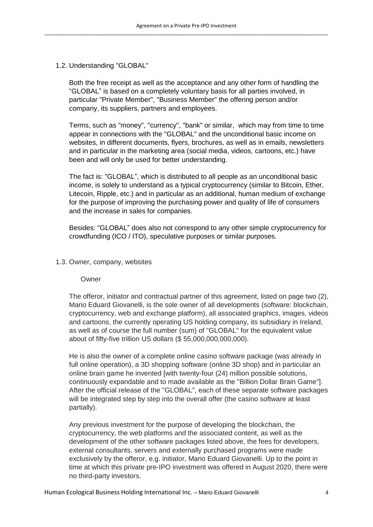#### 1.2. Understanding "GLOBAL"

Both the free receipt as well as the acceptance and any other form of handling the "GLOBAL" is based on a completely voluntary basis for all parties involved, in particular "Private Member", "Business Member" the offering person and/or company, its suppliers, partners and employees.

Terms, such as "money", "currency", "bank" or similar, which may from time to time appear in connections with the "GLOBAL" and the unconditional basic income on websites, in different documents, flyers, brochures, as well as in emails, newsletters and in particular in the marketing area (social media, videos, cartoons, etc.) have been and will only be used for better understanding.

The fact is: "GLOBAL", which is distributed to all people as an unconditional basic income, is solely to understand as a typical cryptocurrency (similar to Bitcoin, Ether, Litecoin, Ripple, etc.) and in particular as an additional, human medium of exchange for the purpose of improving the purchasing power and quality of life of consumers and the increase in sales for companies.

Besides: "GLOBAL" does also not correspond to any other simple cryptocurrency for crowdfunding (ICO / ITO), speculative purposes or similar purposes.

#### 1.3. Owner, company, websites

#### Owner

The offeror, initiator and contractual partner of this agreement, listed on page two (2), Mario Eduard Giovanelli, is the sole owner of all developments (software: blockchain, cryptocurrency, web and exchange platform), all associated graphics, images, videos and cartoons, the currently operating US holding company, its subsidiary in Ireland, as well as of course the full number (sum) of "GLOBAL" for the equivalent value about of fifty-five trillion US dollars (\$ 55,000,000,000,000).

He is also the owner of a complete online casino software package (was already in full online operation), a 3D shopping software (online 3D shop) and in particular an online brain game he invented [with twenty-four (24) million possible solutions, continuously expandable and to made available as the "Billion Dollar Brain Game"]. After the official release of the "GLOBAL", each of these separate software packages will be integrated step by step into the overall offer (the casino software at least partially).

Any previous investment for the purpose of developing the blockchain, the cryptocurrency, the web platforms and the associated content, as well as the development of the other software packages listed above, the fees for developers, external consultants, servers and externally purchased programs were made exclusively by the offeror, e.g. initiator, Mario Eduard Giovanelli. Up to the point in time at which this private pre-IPO investment was offered in August 2020, there were no third-party investors.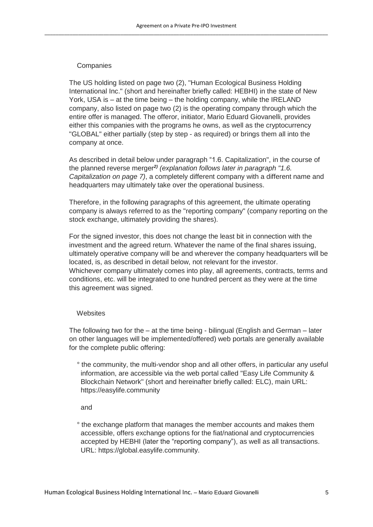#### **Companies**

The US holding listed on page two (2), "Human Ecological Business Holding International Inc." (short and hereinafter briefly called: HEBHI) in the state of New York, USA is – at the time being – the holding company, while the IRELAND company, also listed on page two (2) is the operating company through which the entire offer is managed. The offeror, initiator, Mario Eduard Giovanelli, provides either this companies with the programs he owns, as well as the cryptocurrency "GLOBAL" either partially (step by step - as required) or brings them all into the company at once.

As described in detail below under paragraph "1.6. Capitalization", in the course of the planned reverse merger*2) (explanation follows later in paragraph "1.6. Capitalization on page 7)*, a completely different company with a different name and headquarters may ultimately take over the operational business.

Therefore, in the following paragraphs of this agreement, the ultimate operating company is always referred to as the "reporting company" (company reporting on the stock exchange, ultimately providing the shares).

For the signed investor, this does not change the least bit in connection with the investment and the agreed return. Whatever the name of the final shares issuing, ultimately operative company will be and wherever the company headquarters will be located, is, as described in detail below, not relevant for the investor. Whichever company ultimately comes into play, all agreements, contracts, terms and conditions, etc. will be integrated to one hundred percent as they were at the time this agreement was signed.

#### **Websites**

The following two for the – at the time being - bilingual (English and German – later on other languages will be implemented/offered) web portals are generally available for the complete public offering:

 ° the community, the multi-vendor shop and all other offers, in particular any useful information, are accessible via the web portal called "Easy Life Community & Blockchain Network" (short and hereinafter briefly called: ELC), main URL: https://easylife.community

and

 ° the exchange platform that manages the member accounts and makes them accessible, offers exchange options for the fiat/national and cryptocurrencies accepted by HEBHI (later the "reporting company"), as well as all transactions. URL: https://global.easylife.community.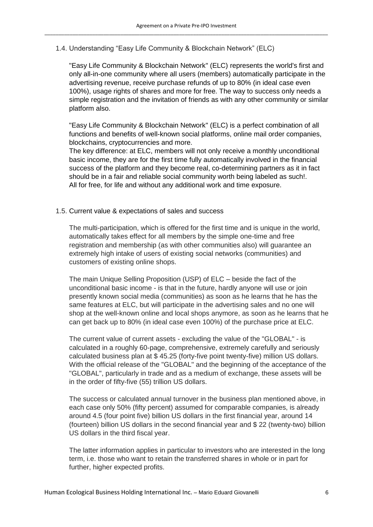1.4. Understanding "Easy Life Community & Blockchain Network" (ELC)

"Easy Life Community & Blockchain Network" (ELC) represents the world's first and only all-in-one community where all users (members) automatically participate in the advertising revenue, receive purchase refunds of up to 80% (in ideal case even 100%), usage rights of shares and more for free. The way to success only needs a simple registration and the invitation of friends as with any other community or similar platform also.

"Easy Life Community & Blockchain Network" (ELC) is a perfect combination of all functions and benefits of well-known social platforms, online mail order companies, blockchains, cryptocurrencies and more.

The key difference: at ELC, members will not only receive a monthly unconditional basic income, they are for the first time fully automatically involved in the financial success of the platform and they become real, co-determining partners as it in fact should be in a fair and reliable social community worth being labeled as such!. All for free, for life and without any additional work and time exposure.

# 1.5. Current value & expectations of sales and success

The multi-participation, which is offered for the first time and is unique in the world, automatically takes effect for all members by the simple one-time and free registration and membership (as with other communities also) will guarantee an extremely high intake of users of existing social networks (communities) and customers of existing online shops.

The main Unique Selling Proposition (USP) of ELC – beside the fact of the unconditional basic income - is that in the future, hardly anyone will use or join presently known social media (communities) as soon as he learns that he has the same features at ELC, but will participate in the advertising sales and no one will shop at the well-known online and local shops anymore, as soon as he learns that he can get back up to 80% (in ideal case even 100%) of the purchase price at ELC.

The current value of current assets - excluding the value of the "GLOBAL" - is calculated in a roughly 60-page, comprehensive, extremely carefully and seriously calculated business plan at \$ 45.25 (forty-five point twenty-five) million US dollars. With the official release of the "GLOBAL" and the beginning of the acceptance of the "GLOBAL", particularly in trade and as a medium of exchange, these assets will be in the order of fifty-five (55) trillion US dollars.

The success or calculated annual turnover in the business plan mentioned above, in each case only 50% (fifty percent) assumed for comparable companies, is already around 4.5 (four point five) billion US dollars in the first financial year, around 14 (fourteen) billion US dollars in the second financial year and \$ 22 (twenty-two) billion US dollars in the third fiscal year.

The latter information applies in particular to investors who are interested in the long term, i.e. those who want to retain the transferred shares in whole or in part for further, higher expected profits.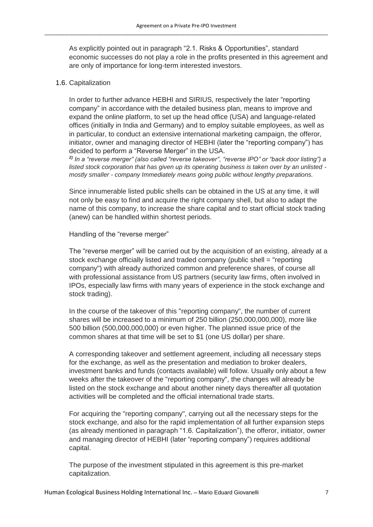As explicitly pointed out in paragraph "2.1. Risks & Opportunities", standard economic successes do not play a role in the profits presented in this agreement and are only of importance for long-term interested investors.

#### 1.6. Capitalization

In order to further advance HEBHI and SIRIUS, respectively the later "reporting company" in accordance with the detailed business plan, means to improve and expand the online platform, to set up the head office (USA) and language-related offices (initially in India and Germany) and to employ suitable employees, as well as in particular, to conduct an extensive international marketing campaign, the offeror, initiator, owner and managing director of HEBHI (later the "reporting company") has decided to perform a "Reverse Merger" in the USA.

*2) In a "reverse merger" (also called "reverse takeover", "reverse IPO" or "back door listing") a listed stock corporation that has given up its operating business is taken over by an unlisted mostly smaller - company Immediately means going public without lengthy preparations.*

Since innumerable listed public shells can be obtained in the US at any time, it will not only be easy to find and acquire the right company shell, but also to adapt the name of this company, to increase the share capital and to start official stock trading (anew) can be handled within shortest periods.

Handling of the "reverse merger"

The "reverse merger" will be carried out by the acquisition of an existing, already at a stock exchange officially listed and traded company (public shell = "reporting company") with already authorized common and preference shares, of course all with professional assistance from US partners (security law firms, often involved in IPOs, especially law firms with many years of experience in the stock exchange and stock trading).

In the course of the takeover of this "reporting company", the number of current shares will be increased to a minimum of 250 billion (250,000,000,000), more like 500 billion (500,000,000,000) or even higher. The planned issue price of the common shares at that time will be set to \$1 (one US dollar) per share.

A corresponding takeover and settlement agreement, including all necessary steps for the exchange, as well as the presentation and mediation to broker dealers, investment banks and funds (contacts available) will follow. Usually only about a few weeks after the takeover of the "reporting company", the changes will already be listed on the stock exchange and about another ninety days thereafter all quotation activities will be completed and the official international trade starts.

For acquiring the "reporting company", carrying out all the necessary steps for the stock exchange, and also for the rapid implementation of all further expansion steps (as already mentioned in paragraph "1.6. Capitalization"), the offeror, initiator, owner and managing director of HEBHI (later "reporting company") requires additional capital.

The purpose of the investment stipulated in this agreement is this pre-market capitalization.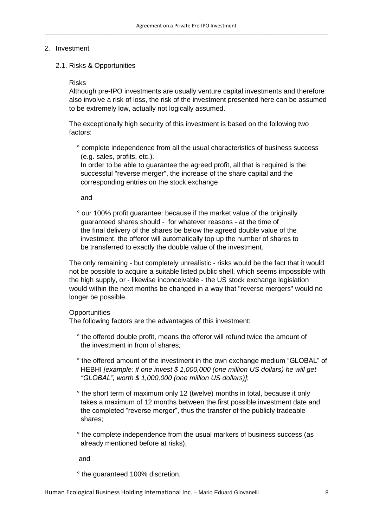# 2. Investment

2.1. Risks & Opportunities

#### Risks

Although pre-IPO investments are usually venture capital investments and therefore also involve a risk of loss, the risk of the investment presented here can be assumed to be extremely low, actually not logically assumed.

The exceptionally high security of this investment is based on the following two factors:

 ° complete independence from all the usual characteristics of business success (e.g. sales, profits, etc.).

 In order to be able to guarantee the agreed profit, all that is required is the successful "reverse merger", the increase of the share capital and the corresponding entries on the stock exchange

and

 ° our 100% profit guarantee: because if the market value of the originally guaranteed shares should - for whatever reasons - at the time of the final delivery of the shares be below the agreed double value of the investment, the offeror will automatically top up the number of shares to be transferred to exactly the double value of the investment.

The only remaining - but completely unrealistic - risks would be the fact that it would not be possible to acquire a suitable listed public shell, which seems impossible with the high supply, or - likewise inconceivable - the US stock exchange legislation would within the next months be changed in a way that "reverse mergers" would no longer be possible.

# **Opportunities**

The following factors are the advantages of this investment:

- ° the offered double profit, means the offeror will refund twice the amount of the investment in from of shares*;*
- ° the offered amount of the investment in the own exchange medium "GLOBAL" of HEBHI *[example: if one invest \$ 1,000,000 (one million US dollars) he will get "GLOBAL", worth \$ 1,000,000 (one million US dollars)]*;
- ° the short term of maximum only 12 (twelve) months in total, because it only takes a maximum of 12 months between the first possible investment date and the completed "reverse merger", thus the transfer of the publicly tradeable shares;
- ° the complete independence from the usual markers of business success (as already mentioned before at risks),

and

° the guaranteed 100% discretion.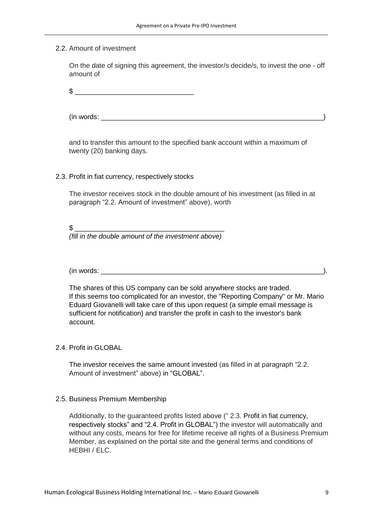#### 2.2. Amount of investment

On the date of signing this agreement, the investor/s decide/s, to invest the one - off amount of

 $\mathbb{S}$ 

 $(in words: )$ 

and to transfer this amount to the specified bank account within a maximum of twenty (20) banking days.

#### 2.3. Profit in fiat currency, respectively stocks

The investor receives stock in the double amount of his investment (as filled in at paragraph "2.2. Amount of investment" above), worth

 $\mathbb$ 

*(fill in the double amount of the investment above)*

 $(in words: )$ 

The shares of this US company can be sold anywhere stocks are traded. If this seems too complicated for an investor, the "Reporting Company" or Mr. Mario Eduard Giovanelli will take care of this upon request (a simple email message is sufficient for notification) and transfer the profit in cash to the investor's bank account.

# 2.4. Profit in GLOBAL

The investor receives the same amount invested (as filled in at paragraph "2.2. Amount of investment" above) in "GLOBAL".

#### 2.5. Business Premium Membership

Additionally, to the guaranteed profits listed above (" 2.3. Profit in fiat currency, respectively stocks" and "2.4. Profit in GLOBAL") the investor will automatically and without any costs, means for free for lifetime receive all rights of a Business Premium Member, as explained on the portal site and the general terms and conditions of HEBHI / ELC.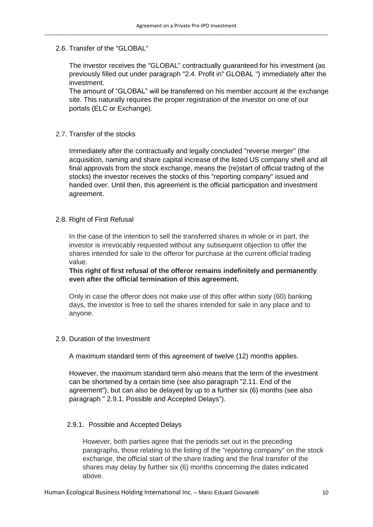# 2.6. Transfer of the "GLOBAL"

The investor receives the "GLOBAL" contractually guaranteed for his investment (as previously filled out under paragraph "2.4. Profit in" GLOBAL ") immediately after the investment.

The amount of "GLOBAL" will be transferred on his member account at the exchange site. This naturally requires the proper registration of the investor on one of our portals (ELC or Exchange).

# 2.7. Transfer of the stocks

Immediately after the contractually and legally concluded "reverse merger" (the acquisition, naming and share capital increase of the listed US company shell and all final approvals from the stock exchange, means the (re)start of official trading of the stocks) the investor receives the stocks of this "reporting company" issued and handed over. Until then, this agreement is the official participation and investment agreement.

# 2.8. Right of First Refusal

In the case of the intention to sell the transferred shares in whole or in part, the investor is irrevocably requested without any subsequent objection to offer the shares intended for sale to the offeror for purchase at the current official trading value.

**This right of first refusal of the offeror remains indefinitely and permanently even after the official termination of this agreement.**

Only in case the offeror does not make use of this offer within sixty (60) banking days, the investor is free to sell the shares intended for sale in any place and to anyone.

#### 2.9. Duration of the Investment

A maximum standard term of this agreement of twelve (12) months applies.

However, the maximum standard term also means that the term of the investment can be shortened by a certain time (see also paragraph "2.11. End of the agreement"), but can also be delayed by up to a further six (6) months (see also paragraph " 2.9.1. Possible and Accepted Delays").

#### 2.9.1. Possible and Accepted Delays

However, both parties agree that the periods set out in the preceding paragraphs, those relating to the listing of the "reporting company" on the stock exchange, the official start of the share trading and the final transfer of the shares may delay by further six (6) months concerning the dates indicated above.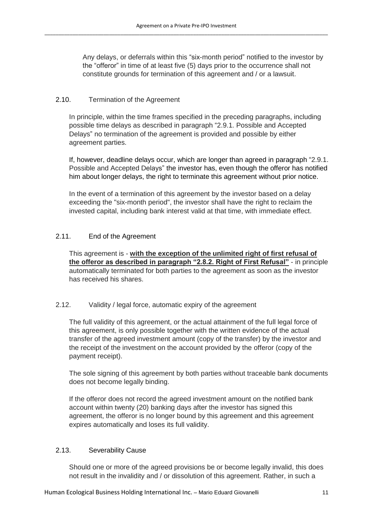Any delays, or deferrals within this "six-month period" notified to the investor by the "offeror" in time of at least five (5) days prior to the occurrence shall not constitute grounds for termination of this agreement and / or a lawsuit.

# 2.10. Termination of the Agreement

In principle, within the time frames specified in the preceding paragraphs, including possible time delays as described in paragraph "2.9.1. Possible and Accepted Delays" no termination of the agreement is provided and possible by either agreement parties.

If, however, deadline delays occur, which are longer than agreed in paragraph "2.9.1. Possible and Accepted Delays" the investor has, even though the offeror has notified him about longer delays, the right to terminate this agreement without prior notice.

In the event of a termination of this agreement by the investor based on a delay exceeding the "six-month period", the investor shall have the right to reclaim the invested capital, including bank interest valid at that time, with immediate effect.

# 2.11. End of the Agreement

This agreement is - **with the exception of the unlimited right of first refusal of the offeror as described in paragraph "2.8.2. Right of First Refusal"** - in principle automatically terminated for both parties to the agreement as soon as the investor has received his shares.

# 2.12. Validity / legal force, automatic expiry of the agreement

The full validity of this agreement, or the actual attainment of the full legal force of this agreement, is only possible together with the written evidence of the actual transfer of the agreed investment amount (copy of the transfer) by the investor and the receipt of the investment on the account provided by the offeror (copy of the payment receipt).

The sole signing of this agreement by both parties without traceable bank documents does not become legally binding.

If the offeror does not record the agreed investment amount on the notified bank account within twenty (20) banking days after the investor has signed this agreement, the offeror is no longer bound by this agreement and this agreement expires automatically and loses its full validity.

# 2.13. Severability Cause

Should one or more of the agreed provisions be or become legally invalid, this does not result in the invalidity and / or dissolution of this agreement. Rather, in such a